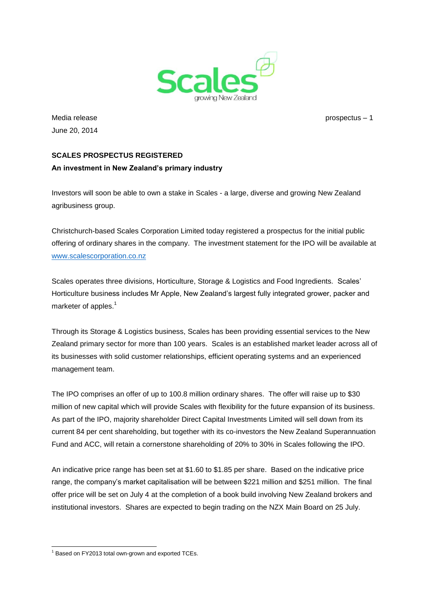

Media release prospectus – 1 June 20, 2014

# **SCALES PROSPECTUS REGISTERED An investment in New Zealand's primary industry**

Investors will soon be able to own a stake in Scales - a large, diverse and growing New Zealand agribusiness group.

Christchurch-based Scales Corporation Limited today registered a prospectus for the initial public offering of ordinary shares in the company. The investment statement for the IPO will be available at [www.scalescorporation.co.nz](http://www.scalescorporation.co.nz/)

Scales operates three divisions, Horticulture, Storage & Logistics and Food Ingredients. Scales' Horticulture business includes Mr Apple, New Zealand's largest fully integrated grower, packer and marketer of apples.<sup>1</sup>

Through its Storage & Logistics business, Scales has been providing essential services to the New Zealand primary sector for more than 100 years. Scales is an established market leader across all of its businesses with solid customer relationships, efficient operating systems and an experienced management team.

The IPO comprises an offer of up to 100.8 million ordinary shares. The offer will raise up to \$30 million of new capital which will provide Scales with flexibility for the future expansion of its business. As part of the IPO, majority shareholder Direct Capital Investments Limited will sell down from its current 84 per cent shareholding, but together with its co-investors the New Zealand Superannuation Fund and ACC, will retain a cornerstone shareholding of 20% to 30% in Scales following the IPO.

An indicative price range has been set at \$1.60 to \$1.85 per share. Based on the indicative price range, the company's market capitalisation will be between \$221 million and \$251 million. The final offer price will be set on July 4 at the completion of a book build involving New Zealand brokers and institutional investors. Shares are expected to begin trading on the NZX Main Board on 25 July.

  $1$  Based on FY2013 total own-grown and exported TCEs.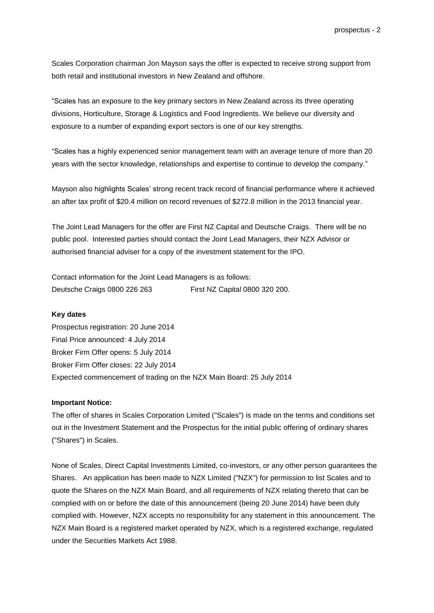Scales Corporation chairman Jon Mayson says the offer is expected to receive strong support from both retail and institutional investors in New Zealand and offshore.

"Scales has an exposure to the key primary sectors in New Zealand across its three operating divisions, Horticulture, Storage & Logistics and Food Ingredients. We believe our diversity and exposure to a number of expanding export sectors is one of our key strengths.

"Scales has a highly experienced senior management team with an average tenure of more than 20 years with the sector knowledge, relationships and expertise to continue to develop the company."

Mayson also highlights Scales' strong recent track record of financial performance where it achieved an after tax profit of \$20.4 million on record revenues of \$272.8 million in the 2013 financial year.

The Joint Lead Managers for the offer are First NZ Capital and Deutsche Craigs. There will be no public pool. Interested parties should contact the Joint Lead Managers, their NZX Advisor or authorised financial adviser for a copy of the investment statement for the IPO.

Contact information for the Joint Lead Managers is as follows: Deutsche Craigs 0800 226 263 First NZ Capital 0800 320 200.

#### **Key dates**

Prospectus registration: 20 June 2014 Final Price announced: 4 July 2014 Broker Firm Offer opens: 5 July 2014 Broker Firm Offer closes: 22 July 2014 Expected commencement of trading on the NZX Main Board: 25 July 2014

#### **Important Notice:**

The offer of shares in Scales Corporation Limited ("Scales") is made on the terms and conditions set out in the Investment Statement and the Prospectus for the initial public offering of ordinary shares ("Shares") in Scales.

None of Scales, Direct Capital Investments Limited, co-investors, or any other person guarantees the Shares. An application has been made to NZX Limited ("NZX") for permission to list Scales and to quote the Shares on the NZX Main Board, and all requirements of NZX relating thereto that can be complied with on or before the date of this announcement (being 20 June 2014) have been duly complied with. However, NZX accepts no responsibility for any statement in this announcement. The NZX Main Board is a registered market operated by NZX, which is a registered exchange, regulated under the Securities Markets Act 1988.